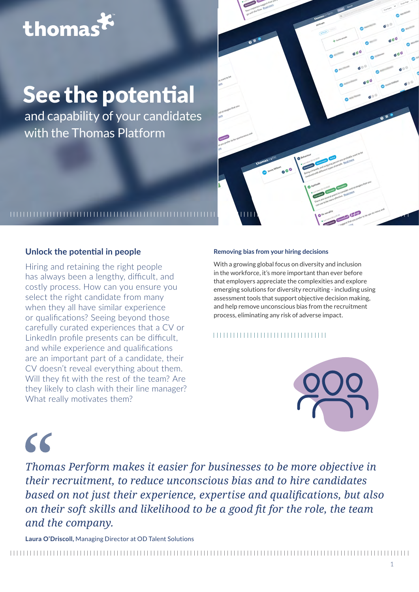## thomas

## See the potential

and capability of your candidates with the Thomas Platform



### **Unlock the potential in people**

Hiring and retaining the right people has always been a lengthy, difficult, and costly process. How can you ensure you select the right candidate from many when they all have similar experience or qualifications? Seeing beyond those carefully curated experiences that a CV or LinkedIn profile presents can be difficult, and while experience and qualifications are an important part of a candidate, their CV doesn't reveal everything about them. Will they fit with the rest of the team? Are they likely to clash with their line manager? What really motivates them?

#### **Removing bias from your hiring decisions**

With a growing global focus on diversity and inclusion in the workforce, it's more important than ever before that employers appreciate the complexities and explore emerging solutions for diversity recruiting - including using assessment tools that support objective decision making, and help remove unconscious bias from the recruitment process, eliminating any risk of adverse impact.

#### 



## $\epsilon$

*Thomas Perform makes it easier for businesses to be more objective in their recruitment, to reduce unconscious bias and to hire candidates based on not just their experience, expertise and qualifications, but also on their soft skills and likelihood to be a good fit for the role, the team and the company.*

**Laura O'Driscoll,** Managing Director at OD Talent Solutions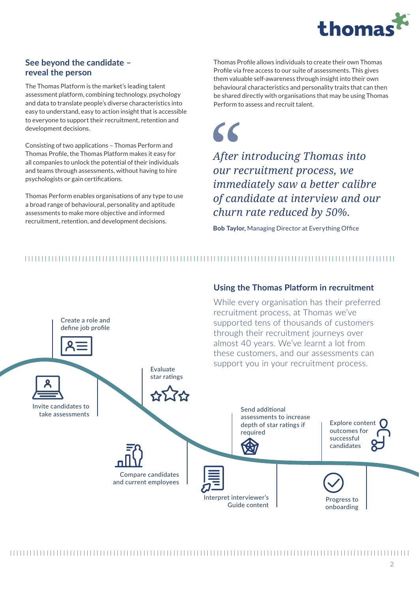

### **See beyond the candidate – reveal the person**

The Thomas Platform is the market's leading talent assessment platform, combining technology, psychology and data to translate people's diverse characteristics into easy to understand, easy to action insight that is accessible to everyone to support their recruitment, retention and development decisions.

Consisting of two applications – Thomas Perform and Thomas Profile, the Thomas Platform makes it easy for all companies to unlock the potential of their individuals and teams through assessments, without having to hire psychologists or gain certifications.

Thomas Perform enables organisations of any type to use a broad range of behavioural, personality and aptitude assessments to make more objective and informed recruitment, retention, and development decisions.

Thomas Profile allows individuals to create their own Thomas Profile via free access to our suite of assessments. This gives them valuable self-awareness through insight into their own behavioural characteristics and personality traits that can then be shared directly with organisations that may be using Thomas Perform to assess and recruit talent.

 $\epsilon$ 

*After introducing Thomas into our recruitment process, we immediately saw a better calibre of candidate at interview and our churn rate reduced by 50%.*

**Bob Taylor,** Managing Director at Everything Office

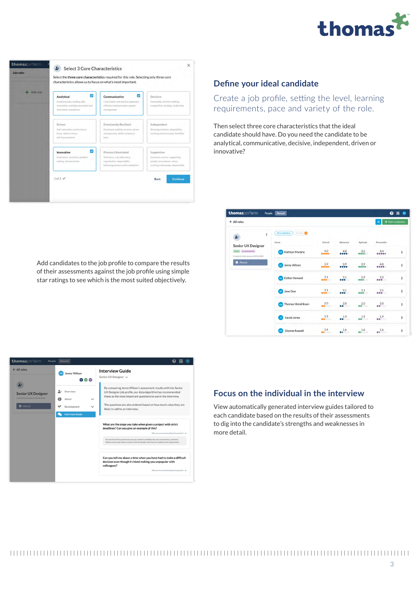



#### **Define your ideal candidate**

Create a job profile, setting the level, learning requirements, pace and variety of the role.

Then select three core characteristics that the ideal candidate should have. Do you need the candidate to be analytical, communicative, decisive, independent, driven or innovative?

| thomasperform<br>Recruit<br>People                       |                                                 |              |                                        |                                       | ℯ<br>ш<br><b>EW</b> |   |
|----------------------------------------------------------|-------------------------------------------------|--------------|----------------------------------------|---------------------------------------|---------------------|---|
| $\leftarrow$ All roles                                   |                                                 |              |                                        | R                                     | + Add candidates    |   |
| $\vdots$<br>A۰<br><b>Senior UX Designer</b>              | <b>All Candidates</b><br><b>Pending</b><br>Name | Overall      | Behaviour                              | Aptitude                              | Personality         |   |
| OPEN & CANDIDATES<br>Created by Matt Jones on 20/03/2020 | Kathryn Murphy<br>c <sub>S</sub>                | 4.0<br>      | 4.0<br>                                | 3.5<br>                               | 4.4<br>             | ŧ |
| <b>O</b> About                                           | LC Jenny Wilson                                 | 3.9<br>      | 3.9<br>                                | 3.9<br>$\bullet\bullet\bullet\bullet$ | 4.0<br>             | ŧ |
|                                                          | <b>Esther Howard</b><br>(MI)                    | 3.1<br>      | 3.1<br><b>80000</b>                    | 2.9<br>88800                          | 3.2<br>00000        | ŧ |
|                                                          | ss Jane Doe                                     | 3.1<br>00000 | 3.1<br>                                | 3.1<br>00000                          | 3.1<br>88800        | ŧ |
|                                                          | Thomas Hendrikson<br>GH                         | 2.0<br>00000 | 2.0<br>$\bullet\bullet\circ\circ\circ$ | 2.0<br>88000                          | 2.0<br>00000        | ŧ |
|                                                          | Jacob Jones<br>D                                | 1.9<br>0000  | 1.9<br>00000                           | 1.9<br>00000                          | 1.9<br>00000        | ŧ |
|                                                          | <b>Dianne Russell</b><br>DR                     | 1.6<br>00000 | 1.6<br>00000                           | 1.6<br>00000                          | 1.6<br>00000        | ŧ |

Add candidates to the job profile to compare the results of their assessments against the job profile using simple star ratings to see which is the most suited objectively.



### **Focus on the individual in the interview**

View automatically generated interview guides tailored to each candidate based on the results of their assessments to dig into the candidate's strengths and weaknesses in more detail.